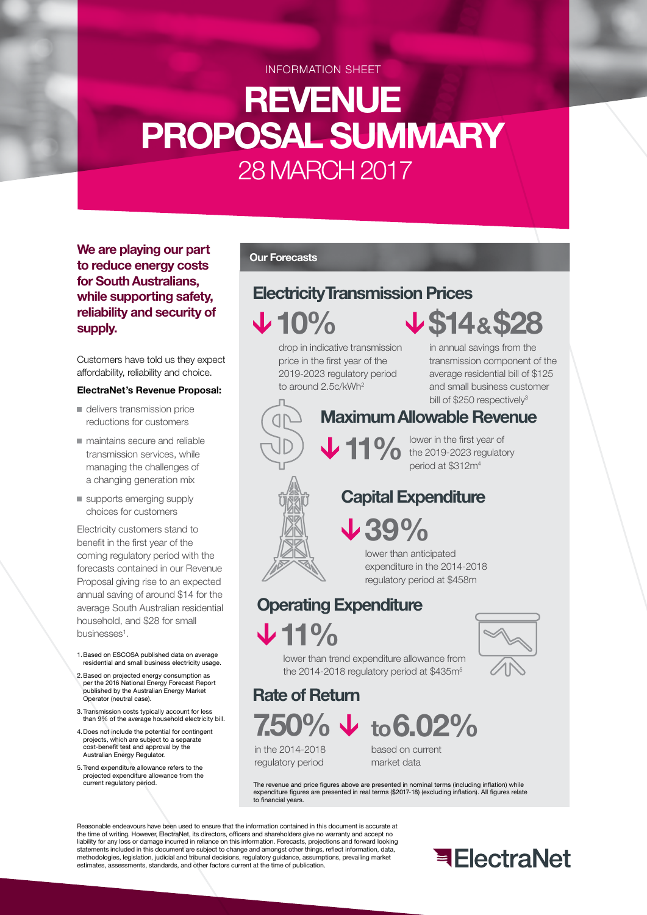INFORMATION SHEET

# **REVENUE PROPOSAL SUMMARY** 28 MARCH 2017

**We are playing our part to reduce energy costs for South Australians, while supporting safety, reliability and security of supply.**

Customers have told us they expect affordability, reliability and choice.

#### **ElectraNet's Revenue Proposal:**

- delivers transmission price reductions for customers
- maintains secure and reliable transmission services, while managing the challenges of a changing generation mix
- supports emerging supply choices for customers

Electricity customers stand to benefit in the first year of the coming regulatory period with the forecasts contained in our Revenue Proposal giving rise to an expected annual saving of around \$14 for the average South Australian residential household, and \$28 for small businesses<sup>1</sup>.

- 1. Based on ESCOSA published data on average residential and small business electricity usage.
- 2. Based on projected energy consumption as per the 2016 National Energy Forecast Report published by the Australian Energy Market Operator (neutral case).
- 3. Transmission costs typically account for less than 9% of the average household electricity bill.
- 4. Does not include the potential for contingent projects, which are subject to a separate cost-benefit test and approval by the Australian Energy Regulator.
- 5. Trend expenditure allowance refers to the projected expenditure allowance from the current regulatory period.

#### **Our Forecasts**

# **Electricity Transmission Prices**

**10%**

drop in indicative transmission price in the first year of the 2019-2023 regulatory period to around 2.5c/kWh<sup>2</sup>

in annual savings from the transmission component of the average residential bill of \$125 and small business customer bill of \$250 respectively<sup>3</sup>

**\$14 & \$28**

## **Maximum Allowable Revenue**

**11 %** lower in the first year of<br>the 2019-2023 regulatory<br>period at \$312m<sup>4</sup> period at \$312m4

## **Capital Expenditure**

**39%**

lower than anticipated expenditure in the 2014-2018 regulatory period at \$458m

# **Operating Expenditure**

**11%**



lower than trend expenditure allowance from the 2014-2018 regulatory period at \$435m<sup>5</sup>

**Rate of Return**

# **7.50% to6.02%**

in the 2014-2018 regulatory period

based on current market data

The revenue and price figures above are presented in nominal terms (including inflation) while expenditure figures are presented in real terms (\$2017-18) (excluding inflation). All figures relate to financial years.

Reasonable endeavours have been used to ensure that the information contained in this document is accurate at the time of writing. However, ElectraNet, its directors, officers and shareholders give no warranty and accept no liability for any loss or damage incurred in reliance on this information. Forecasts, projections and forward looking statements included in this document are subject to change and amongst other things, reflect information, data, methodologies, legislation, judicial and tribunal decisions, regulatory guidance, assumptions, prevailing market estimates, assessments, standards, and other factors current at the time of publication.